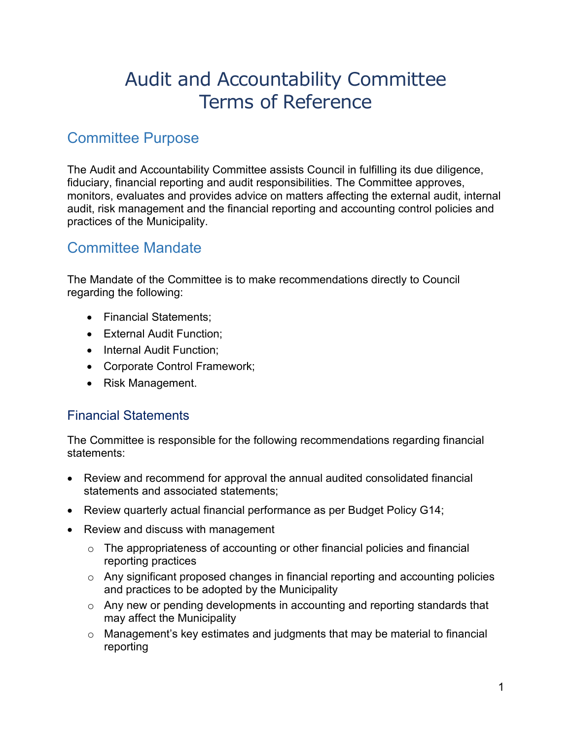# Audit and Accountability Committee Terms of Reference

#### Committee Purpose

The Audit and Accountability Committee assists Council in fulfilling its due diligence, fiduciary, financial reporting and audit responsibilities. The Committee approves, monitors, evaluates and provides advice on matters affecting the external audit, internal audit, risk management and the financial reporting and accounting control policies and practices of the Municipality.

#### Committee Mandate

The Mandate of the Committee is to make recommendations directly to Council regarding the following:

- Financial Statements;
- External Audit Function;
- Internal Audit Function;
- Corporate Control Framework;
- Risk Management.

#### Financial Statements

The Committee is responsible for the following recommendations regarding financial statements:

- Review and recommend for approval the annual audited consolidated financial statements and associated statements;
- Review quarterly actual financial performance as per Budget Policy G14;
- Review and discuss with management
	- o The appropriateness of accounting or other financial policies and financial reporting practices
	- o Any significant proposed changes in financial reporting and accounting policies and practices to be adopted by the Municipality
	- o Any new or pending developments in accounting and reporting standards that may affect the Municipality
	- o Management's key estimates and judgments that may be material to financial reporting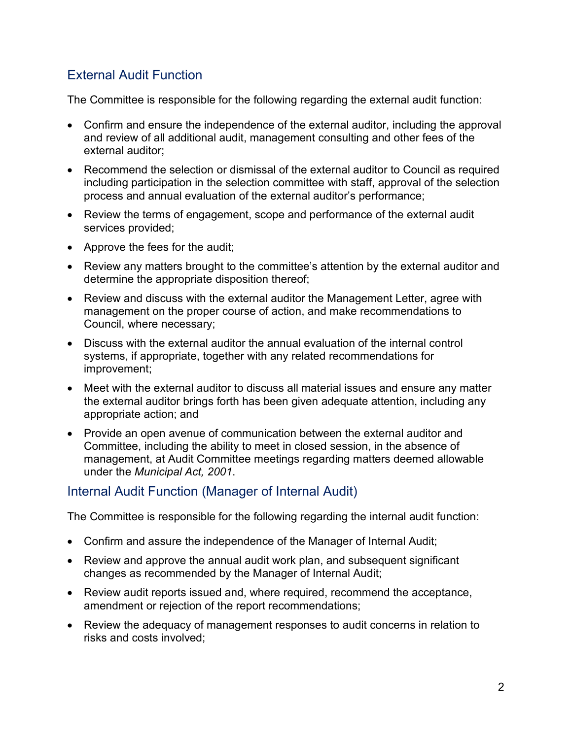#### External Audit Function

The Committee is responsible for the following regarding the external audit function:

- Confirm and ensure the independence of the external auditor, including the approval and review of all additional audit, management consulting and other fees of the external auditor;
- Recommend the selection or dismissal of the external auditor to Council as required including participation in the selection committee with staff, approval of the selection process and annual evaluation of the external auditor's performance;
- Review the terms of engagement, scope and performance of the external audit services provided;
- Approve the fees for the audit;
- Review any matters brought to the committee's attention by the external auditor and determine the appropriate disposition thereof;
- Review and discuss with the external auditor the Management Letter, agree with management on the proper course of action, and make recommendations to Council, where necessary;
- Discuss with the external auditor the annual evaluation of the internal control systems, if appropriate, together with any related recommendations for improvement;
- Meet with the external auditor to discuss all material issues and ensure any matter the external auditor brings forth has been given adequate attention, including any appropriate action; and
- Provide an open avenue of communication between the external auditor and Committee, including the ability to meet in closed session, in the absence of management, at Audit Committee meetings regarding matters deemed allowable under the *Municipal Act, 2001*.

#### Internal Audit Function (Manager of Internal Audit)

The Committee is responsible for the following regarding the internal audit function:

- Confirm and assure the independence of the Manager of Internal Audit;
- Review and approve the annual audit work plan, and subsequent significant changes as recommended by the Manager of Internal Audit;
- Review audit reports issued and, where required, recommend the acceptance, amendment or rejection of the report recommendations;
- Review the adequacy of management responses to audit concerns in relation to risks and costs involved;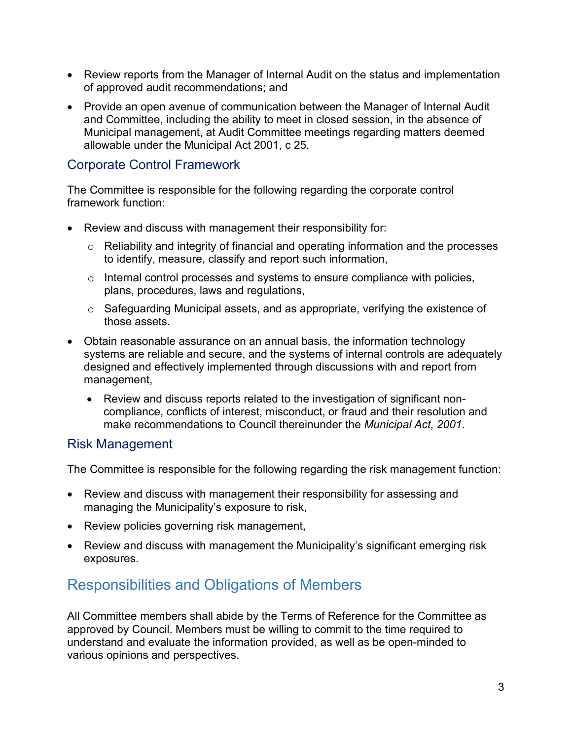- Review reports from the Manager of Internal Audit on the status and implementation of approved audit recommendations; and
- Provide an open avenue of communication between the Manager of Internal Audit and Committee, including the ability to meet in closed session, in the absence of Municipal management, at Audit Committee meetings regarding matters deemed allowable under the Municipal Act 2001, c 25.

#### Corporate Control Framework

The Committee is responsible for the following regarding the corporate control framework function:

- Review and discuss with management their responsibility for:
	- o Reliability and integrity of financial and operating information and the processes to identify, measure, classify and report such information,
	- o Internal control processes and systems to ensure compliance with policies, plans, procedures, laws and regulations,
	- o Safeguarding Municipal assets, and as appropriate, verifying the existence of those assets.
- Obtain reasonable assurance on an annual basis, the information technology systems are reliable and secure, and the systems of internal controls are adequately designed and effectively implemented through discussions with and report from management,
	- Review and discuss reports related to the investigation of significant noncompliance, conflicts of interest, misconduct, or fraud and their resolution and make recommendations to Council thereinunder the *Municipal Act, 2001*.

#### Risk Management

The Committee is responsible for the following regarding the risk management function:

- Review and discuss with management their responsibility for assessing and managing the Municipality's exposure to risk,
- Review policies governing risk management,
- Review and discuss with management the Municipality's significant emerging risk exposures.

#### Responsibilities and Obligations of Members

All Committee members shall abide by the Terms of Reference for the Committee as approved by Council. Members must be willing to commit to the time required to understand and evaluate the information provided, as well as be open-minded to various opinions and perspectives.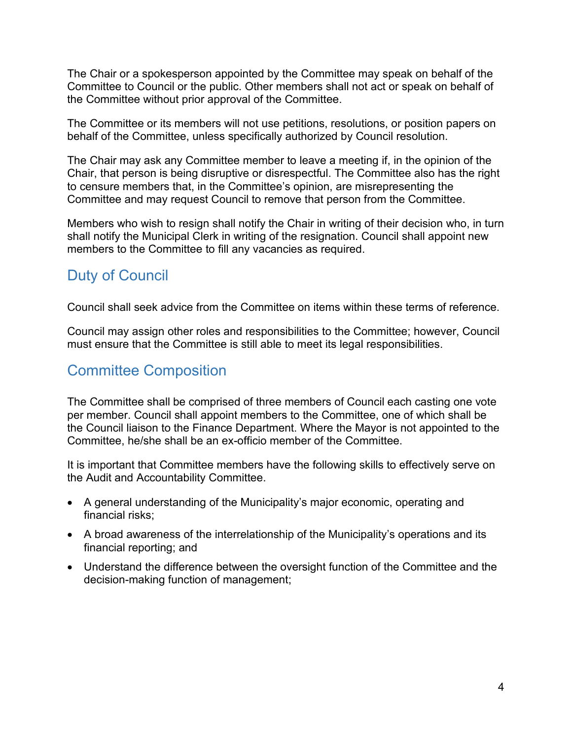The Chair or a spokesperson appointed by the Committee may speak on behalf of the Committee to Council or the public. Other members shall not act or speak on behalf of the Committee without prior approval of the Committee.

The Committee or its members will not use petitions, resolutions, or position papers on behalf of the Committee, unless specifically authorized by Council resolution.

The Chair may ask any Committee member to leave a meeting if, in the opinion of the Chair, that person is being disruptive or disrespectful. The Committee also has the right to censure members that, in the Committee's opinion, are misrepresenting the Committee and may request Council to remove that person from the Committee.

Members who wish to resign shall notify the Chair in writing of their decision who, in turn shall notify the Municipal Clerk in writing of the resignation. Council shall appoint new members to the Committee to fill any vacancies as required.

#### Duty of Council

Council shall seek advice from the Committee on items within these terms of reference.

Council may assign other roles and responsibilities to the Committee; however, Council must ensure that the Committee is still able to meet its legal responsibilities.

### Committee Composition

The Committee shall be comprised of three members of Council each casting one vote per member. Council shall appoint members to the Committee, one of which shall be the Council liaison to the Finance Department. Where the Mayor is not appointed to the Committee, he/she shall be an ex-officio member of the Committee.

It is important that Committee members have the following skills to effectively serve on the Audit and Accountability Committee.

- A general understanding of the Municipality's major economic, operating and financial risks;
- A broad awareness of the interrelationship of the Municipality's operations and its financial reporting; and
- Understand the difference between the oversight function of the Committee and the decision-making function of management;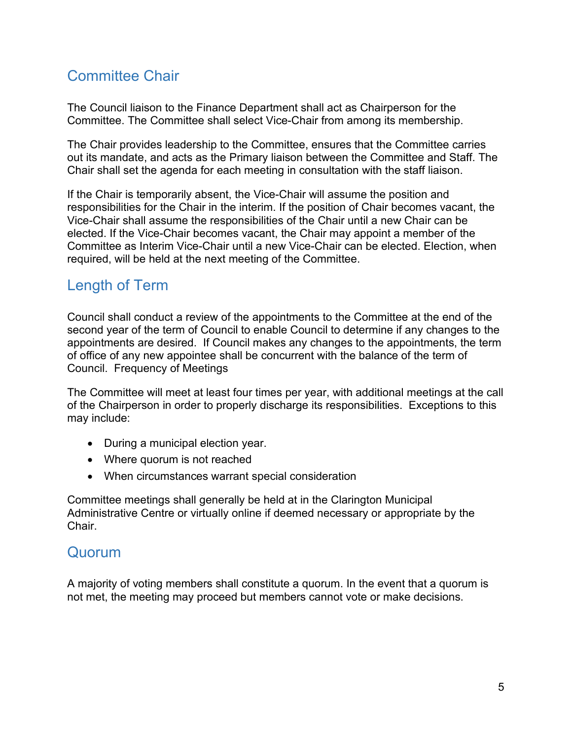## Committee Chair

The Council liaison to the Finance Department shall act as Chairperson for the Committee. The Committee shall select Vice-Chair from among its membership.

The Chair provides leadership to the Committee, ensures that the Committee carries out its mandate, and acts as the Primary liaison between the Committee and Staff. The Chair shall set the agenda for each meeting in consultation with the staff liaison.

If the Chair is temporarily absent, the Vice-Chair will assume the position and responsibilities for the Chair in the interim. If the position of Chair becomes vacant, the Vice-Chair shall assume the responsibilities of the Chair until a new Chair can be elected. If the Vice-Chair becomes vacant, the Chair may appoint a member of the Committee as Interim Vice-Chair until a new Vice-Chair can be elected. Election, when required, will be held at the next meeting of the Committee.

### Length of Term

Council shall conduct a review of the appointments to the Committee at the end of the second year of the term of Council to enable Council to determine if any changes to the appointments are desired. If Council makes any changes to the appointments, the term of office of any new appointee shall be concurrent with the balance of the term of Council. Frequency of Meetings

The Committee will meet at least four times per year, with additional meetings at the call of the Chairperson in order to properly discharge its responsibilities. Exceptions to this may include:

- During a municipal election year.
- Where quorum is not reached
- When circumstances warrant special consideration

Committee meetings shall generally be held at in the Clarington Municipal Administrative Centre or virtually online if deemed necessary or appropriate by the Chair.

#### **Quorum**

A majority of voting members shall constitute a quorum. In the event that a quorum is not met, the meeting may proceed but members cannot vote or make decisions.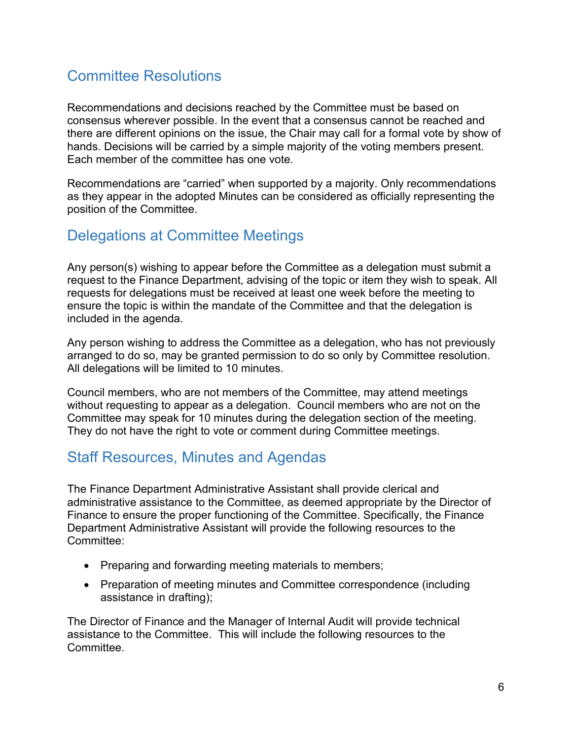### Committee Resolutions

Recommendations and decisions reached by the Committee must be based on consensus wherever possible. In the event that a consensus cannot be reached and there are different opinions on the issue, the Chair may call for a formal vote by show of hands. Decisions will be carried by a simple majority of the voting members present. Each member of the committee has one vote.

Recommendations are "carried" when supported by a majority. Only recommendations as they appear in the adopted Minutes can be considered as officially representing the position of the Committee.

#### Delegations at Committee Meetings

Any person(s) wishing to appear before the Committee as a delegation must submit a request to the Finance Department, advising of the topic or item they wish to speak. All requests for delegations must be received at least one week before the meeting to ensure the topic is within the mandate of the Committee and that the delegation is included in the agenda.

Any person wishing to address the Committee as a delegation, who has not previously arranged to do so, may be granted permission to do so only by Committee resolution. All delegations will be limited to 10 minutes.

Council members, who are not members of the Committee, may attend meetings without requesting to appear as a delegation. Council members who are not on the Committee may speak for 10 minutes during the delegation section of the meeting. They do not have the right to vote or comment during Committee meetings.

### Staff Resources, Minutes and Agendas

The Finance Department Administrative Assistant shall provide clerical and administrative assistance to the Committee, as deemed appropriate by the Director of Finance to ensure the proper functioning of the Committee. Specifically, the Finance Department Administrative Assistant will provide the following resources to the Committee:

- Preparing and forwarding meeting materials to members;
- Preparation of meeting minutes and Committee correspondence (including assistance in drafting);

The Director of Finance and the Manager of Internal Audit will provide technical assistance to the Committee. This will include the following resources to the Committee.